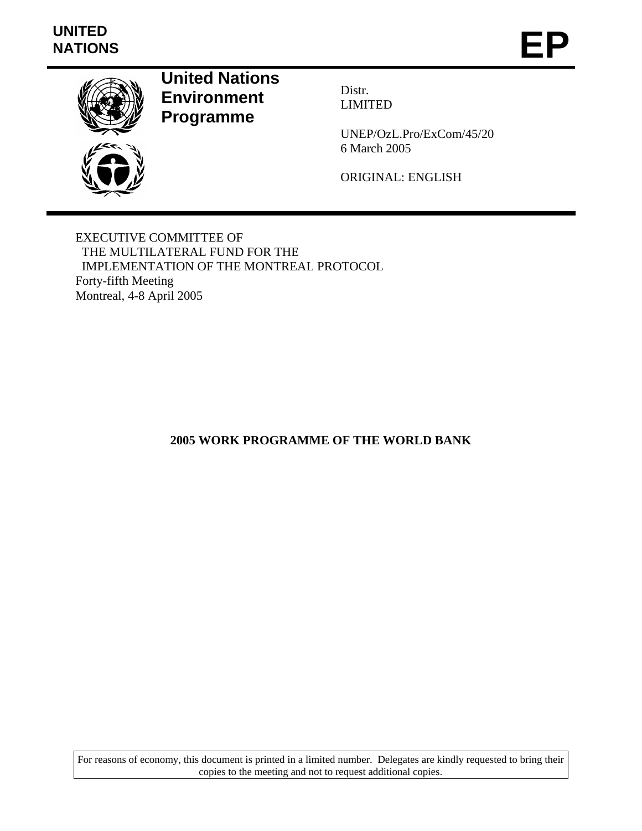## **UNITED**  UNITED<br>NATIONS **EP**



**United Nations Environment Programme** 

Distr. LIMITED

UNEP/OzL.Pro/ExCom/45/20 6 March 2005

ORIGINAL: ENGLISH

EXECUTIVE COMMITTEE OF THE MULTILATERAL FUND FOR THE IMPLEMENTATION OF THE MONTREAL PROTOCOL Forty-fifth Meeting Montreal, 4-8 April 2005

**2005 WORK PROGRAMME OF THE WORLD BANK** 

For reasons of economy, this document is printed in a limited number. Delegates are kindly requested to bring their copies to the meeting and not to request additional copies.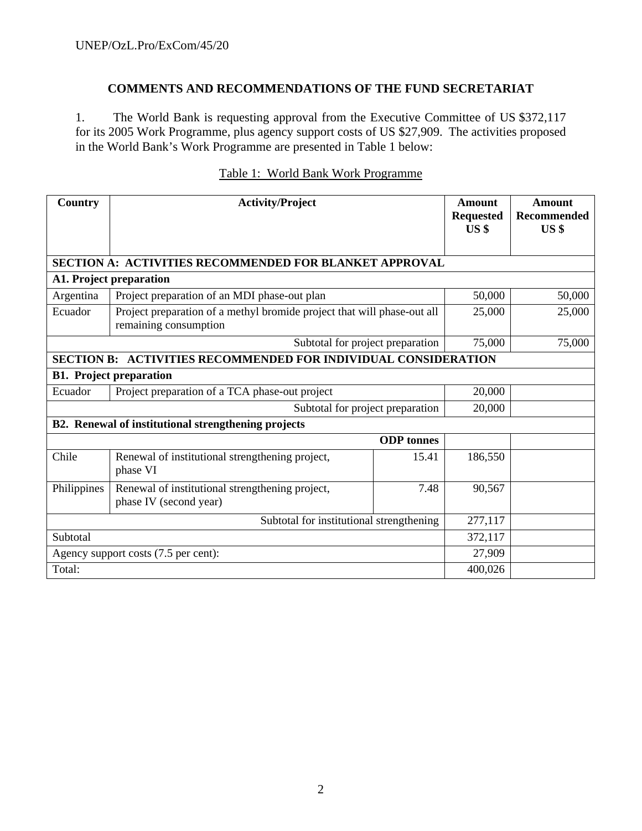## **COMMENTS AND RECOMMENDATIONS OF THE FUND SECRETARIAT**

1. The World Bank is requesting approval from the Executive Committee of US \$372,117 for its 2005 Work Programme, plus agency support costs of US \$27,909. The activities proposed in the World Bank's Work Programme are presented in Table 1 below:

| Country                              | <b>Activity/Project</b>                                                                          | Amount<br><b>Requested</b><br>US <sub>s</sub> | <b>Amount</b><br>Recommended<br>US <sub>s</sub> |        |  |
|--------------------------------------|--------------------------------------------------------------------------------------------------|-----------------------------------------------|-------------------------------------------------|--------|--|
|                                      | SECTION A: ACTIVITIES RECOMMENDED FOR BLANKET APPROVAL                                           |                                               |                                                 |        |  |
|                                      | A1. Project preparation                                                                          |                                               |                                                 |        |  |
| Argentina                            | Project preparation of an MDI phase-out plan                                                     |                                               | 50,000                                          | 50,000 |  |
| Ecuador                              | Project preparation of a methyl bromide project that will phase-out all<br>remaining consumption |                                               | 25,000                                          | 25,000 |  |
|                                      | Subtotal for project preparation                                                                 |                                               | 75,000                                          | 75,000 |  |
| <b>SECTION B:</b>                    | <b>ACTIVITIES RECOMMENDED FOR INDIVIDUAL CONSIDERATION</b>                                       |                                               |                                                 |        |  |
|                                      | <b>B1. Project preparation</b>                                                                   |                                               |                                                 |        |  |
| Ecuador                              | Project preparation of a TCA phase-out project<br>20,000                                         |                                               |                                                 |        |  |
|                                      | Subtotal for project preparation                                                                 |                                               | 20,000                                          |        |  |
|                                      | B2. Renewal of institutional strengthening projects                                              |                                               |                                                 |        |  |
|                                      |                                                                                                  | <b>ODP</b> tonnes                             |                                                 |        |  |
| Chile                                | Renewal of institutional strengthening project,<br>15.41<br>phase VI                             |                                               | 186,550                                         |        |  |
| Philippines                          | Renewal of institutional strengthening project,<br>phase IV (second year)                        | 7.48                                          | 90,567                                          |        |  |
|                                      | Subtotal for institutional strengthening                                                         | 277,117                                       |                                                 |        |  |
| Subtotal                             |                                                                                                  |                                               | 372,117                                         |        |  |
| Agency support costs (7.5 per cent): |                                                                                                  |                                               | 27,909                                          |        |  |
| Total:                               |                                                                                                  |                                               | 400,026                                         |        |  |

## Table 1: World Bank Work Programme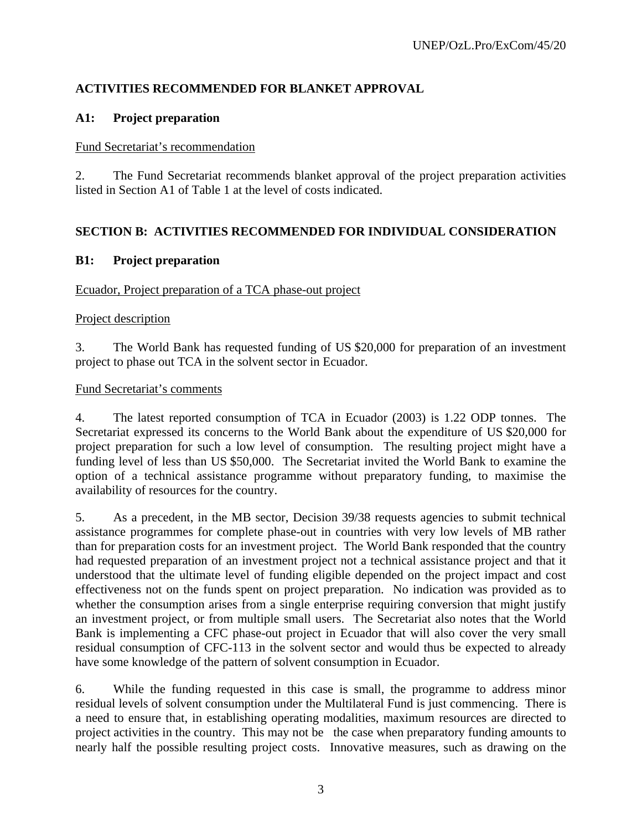## **ACTIVITIES RECOMMENDED FOR BLANKET APPROVAL**

## **A1: Project preparation**

#### Fund Secretariat's recommendation

2. The Fund Secretariat recommends blanket approval of the project preparation activities listed in Section A1 of Table 1 at the level of costs indicated.

## **SECTION B: ACTIVITIES RECOMMENDED FOR INDIVIDUAL CONSIDERATION**

### **B1: Project preparation**

#### Ecuador, Project preparation of a TCA phase-out project

#### Project description

3. The World Bank has requested funding of US \$20,000 for preparation of an investment project to phase out TCA in the solvent sector in Ecuador.

#### Fund Secretariat's comments

4. The latest reported consumption of TCA in Ecuador (2003) is 1.22 ODP tonnes. The Secretariat expressed its concerns to the World Bank about the expenditure of US \$20,000 for project preparation for such a low level of consumption. The resulting project might have a funding level of less than US \$50,000. The Secretariat invited the World Bank to examine the option of a technical assistance programme without preparatory funding, to maximise the availability of resources for the country.

5. As a precedent, in the MB sector, Decision 39/38 requests agencies to submit technical assistance programmes for complete phase-out in countries with very low levels of MB rather than for preparation costs for an investment project. The World Bank responded that the country had requested preparation of an investment project not a technical assistance project and that it understood that the ultimate level of funding eligible depended on the project impact and cost effectiveness not on the funds spent on project preparation. No indication was provided as to whether the consumption arises from a single enterprise requiring conversion that might justify an investment project, or from multiple small users. The Secretariat also notes that the World Bank is implementing a CFC phase-out project in Ecuador that will also cover the very small residual consumption of CFC-113 in the solvent sector and would thus be expected to already have some knowledge of the pattern of solvent consumption in Ecuador.

6. While the funding requested in this case is small, the programme to address minor residual levels of solvent consumption under the Multilateral Fund is just commencing. There is a need to ensure that, in establishing operating modalities, maximum resources are directed to project activities in the country. This may not be the case when preparatory funding amounts to nearly half the possible resulting project costs. Innovative measures, such as drawing on the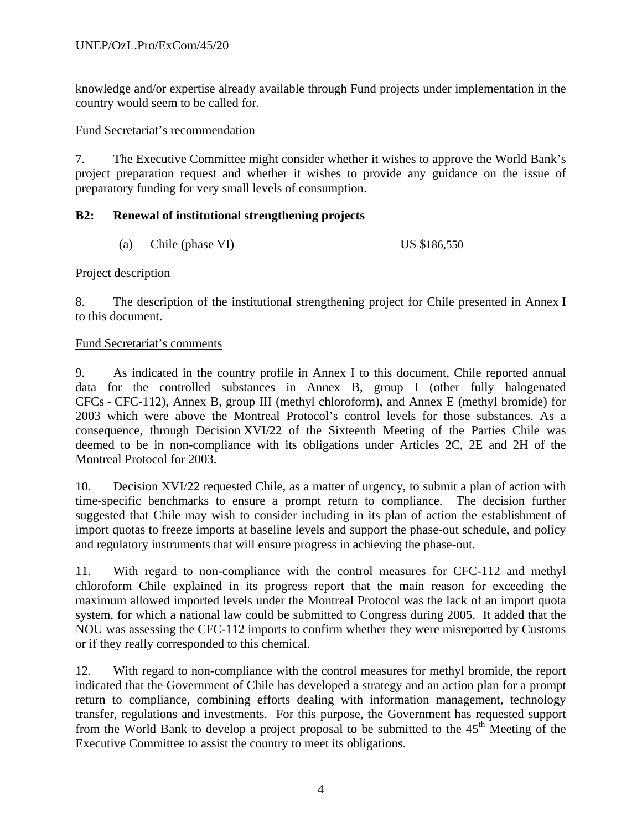## UNEP/OzL.Pro/ExCom/45/20

knowledge and/or expertise already available through Fund projects under implementation in the country would seem to be called for.

#### Fund Secretariat's recommendation

7. The Executive Committee might consider whether it wishes to approve the World Bank's project preparation request and whether it wishes to provide any guidance on the issue of preparatory funding for very small levels of consumption.

### **B2: Renewal of institutional strengthening projects**

(a) Chile (phase VI) US  $$186,550$ 

#### Project description

8. The description of the institutional strengthening project for Chile presented in Annex I to this document.

#### Fund Secretariat's comments

9. As indicated in the country profile in Annex I to this document, Chile reported annual data for the controlled substances in Annex B, group I (other fully halogenated CFCs - CFC-112), Annex B, group III (methyl chloroform), and Annex E (methyl bromide) for 2003 which were above the Montreal Protocol's control levels for those substances. As a consequence, through Decision XVI/22 of the Sixteenth Meeting of the Parties Chile was deemed to be in non-compliance with its obligations under Articles 2C, 2E and 2H of the Montreal Protocol for 2003.

10. Decision XVI/22 requested Chile, as a matter of urgency, to submit a plan of action with time-specific benchmarks to ensure a prompt return to compliance. The decision further suggested that Chile may wish to consider including in its plan of action the establishment of import quotas to freeze imports at baseline levels and support the phase-out schedule, and policy and regulatory instruments that will ensure progress in achieving the phase-out.

11. With regard to non-compliance with the control measures for CFC-112 and methyl chloroform Chile explained in its progress report that the main reason for exceeding the maximum allowed imported levels under the Montreal Protocol was the lack of an import quota system, for which a national law could be submitted to Congress during 2005. It added that the NOU was assessing the CFC-112 imports to confirm whether they were misreported by Customs or if they really corresponded to this chemical.

12. With regard to non-compliance with the control measures for methyl bromide, the report indicated that the Government of Chile has developed a strategy and an action plan for a prompt return to compliance, combining efforts dealing with information management, technology transfer, regulations and investments. For this purpose, the Government has requested support from the World Bank to develop a project proposal to be submitted to the  $45<sup>th</sup>$  Meeting of the Executive Committee to assist the country to meet its obligations.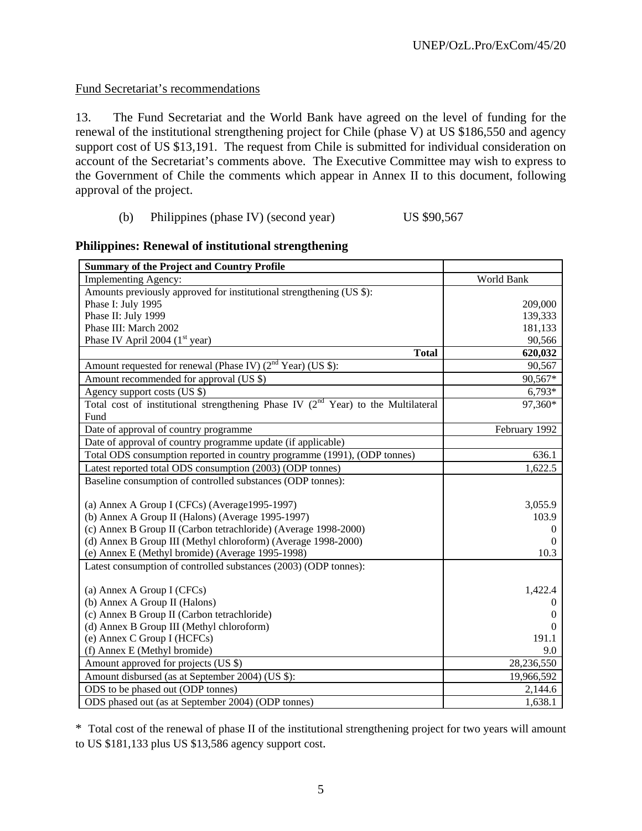## Fund Secretariat's recommendations

13. The Fund Secretariat and the World Bank have agreed on the level of funding for the renewal of the institutional strengthening project for Chile (phase V) at US \$186,550 and agency support cost of US \$13,191. The request from Chile is submitted for individual consideration on account of the Secretariat's comments above. The Executive Committee may wish to express to the Government of Chile the comments which appear in Annex II to this document, following approval of the project.

#### (b) Philippines (phase IV) (second year) US \$90,567

| <b>Summary of the Project and Country Profile</b>                                                         |               |
|-----------------------------------------------------------------------------------------------------------|---------------|
| <b>Implementing Agency:</b>                                                                               | World Bank    |
| Amounts previously approved for institutional strengthening (US \$):                                      |               |
| Phase I: July 1995                                                                                        | 209,000       |
| Phase II: July 1999                                                                                       | 139,333       |
| Phase III: March 2002                                                                                     | 181,133       |
| Phase IV April 2004 $(1st$ year)                                                                          | 90,566        |
| <b>Total</b>                                                                                              | 620,032       |
| Amount requested for renewal (Phase IV) $(2nd Year)$ (US \$):                                             | 90,567        |
| Amount recommended for approval (US \$)                                                                   | 90,567*       |
| Agency support costs (US \$)                                                                              | $6,793*$      |
| Total cost of institutional strengthening Phase IV $\overline{(2^{nd} \text{ Year})}$ to the Multilateral | 97,360*       |
| Fund                                                                                                      |               |
| Date of approval of country programme                                                                     | February 1992 |
| Date of approval of country programme update (if applicable)                                              |               |
| Total ODS consumption reported in country programme (1991), (ODP tonnes)                                  | 636.1         |
| Latest reported total ODS consumption (2003) (ODP tonnes)                                                 | 1,622.5       |
| Baseline consumption of controlled substances (ODP tonnes):                                               |               |
|                                                                                                           |               |
| (a) Annex A Group I (CFCs) (Average1995-1997)                                                             | 3,055.9       |
| (b) Annex A Group II (Halons) (Average 1995-1997)                                                         | 103.9         |
| (c) Annex B Group II (Carbon tetrachloride) (Average 1998-2000)                                           | $\theta$      |
| (d) Annex B Group III (Methyl chloroform) (Average 1998-2000)                                             | $\Omega$      |
| (e) Annex E (Methyl bromide) (Average 1995-1998)                                                          | 10.3          |
| Latest consumption of controlled substances (2003) (ODP tonnes):                                          |               |
|                                                                                                           |               |
| (a) Annex A Group I (CFCs)                                                                                | 1,422.4       |
| (b) Annex A Group II (Halons)                                                                             | $\theta$      |
| (c) Annex B Group II (Carbon tetrachloride)                                                               | $\theta$      |
| (d) Annex B Group III (Methyl chloroform)                                                                 | 0             |
| (e) Annex C Group I (HCFCs)                                                                               | 191.1         |
| (f) Annex E (Methyl bromide)                                                                              | 9.0           |
| Amount approved for projects (US \$)                                                                      | 28,236,550    |
| Amount disbursed (as at September 2004) (US \$):                                                          | 19,966,592    |
| ODS to be phased out (ODP tonnes)                                                                         | 2,144.6       |
| ODS phased out (as at September 2004) (ODP tonnes)                                                        | 1,638.1       |

#### **Philippines: Renewal of institutional strengthening**

\* Total cost of the renewal of phase II of the institutional strengthening project for two years will amount to US \$181,133 plus US \$13,586 agency support cost.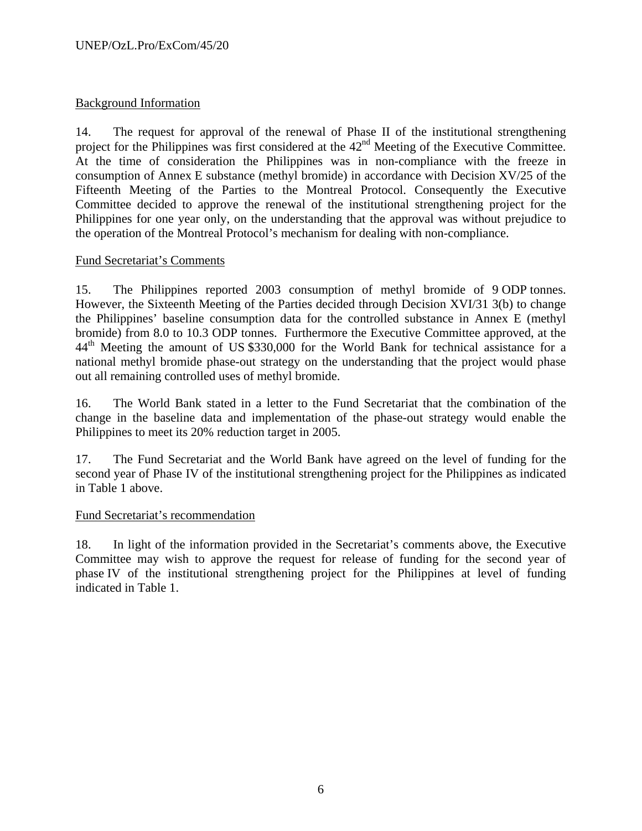## Background Information

14. The request for approval of the renewal of Phase II of the institutional strengthening project for the Philippines was first considered at the 42<sup>nd</sup> Meeting of the Executive Committee. At the time of consideration the Philippines was in non-compliance with the freeze in consumption of Annex E substance (methyl bromide) in accordance with Decision XV/25 of the Fifteenth Meeting of the Parties to the Montreal Protocol. Consequently the Executive Committee decided to approve the renewal of the institutional strengthening project for the Philippines for one year only, on the understanding that the approval was without prejudice to the operation of the Montreal Protocol's mechanism for dealing with non-compliance.

## Fund Secretariat's Comments

15. The Philippines reported 2003 consumption of methyl bromide of 9 ODP tonnes. However, the Sixteenth Meeting of the Parties decided through Decision XVI/31 3(b) to change the Philippines' baseline consumption data for the controlled substance in Annex E (methyl bromide) from 8.0 to 10.3 ODP tonnes. Furthermore the Executive Committee approved, at the 44<sup>th</sup> Meeting the amount of US \$330,000 for the World Bank for technical assistance for a national methyl bromide phase-out strategy on the understanding that the project would phase out all remaining controlled uses of methyl bromide.

16. The World Bank stated in a letter to the Fund Secretariat that the combination of the change in the baseline data and implementation of the phase-out strategy would enable the Philippines to meet its 20% reduction target in 2005.

17. The Fund Secretariat and the World Bank have agreed on the level of funding for the second year of Phase IV of the institutional strengthening project for the Philippines as indicated in Table 1 above.

#### Fund Secretariat's recommendation

18. In light of the information provided in the Secretariat's comments above, the Executive Committee may wish to approve the request for release of funding for the second year of phase IV of the institutional strengthening project for the Philippines at level of funding indicated in Table 1.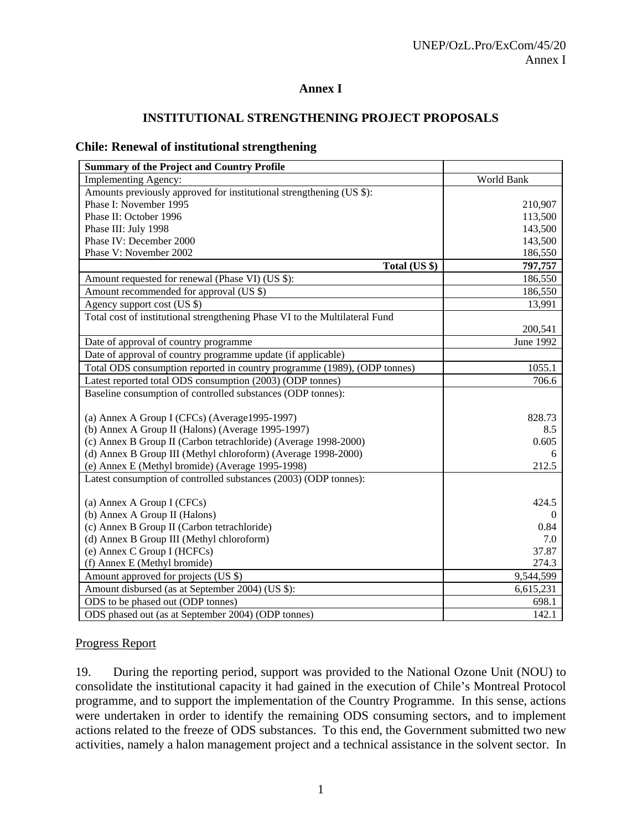## **Annex I**

## **INSTITUTIONAL STRENGTHENING PROJECT PROPOSALS**

#### **Chile: Renewal of institutional strengthening**

| <b>Summary of the Project and Country Profile</b>                           |            |
|-----------------------------------------------------------------------------|------------|
| <b>Implementing Agency:</b>                                                 | World Bank |
| Amounts previously approved for institutional strengthening (US \$):        |            |
| Phase I: November 1995                                                      | 210,907    |
| Phase II: October 1996                                                      | 113,500    |
| Phase III: July 1998                                                        | 143,500    |
| Phase IV: December 2000                                                     | 143,500    |
| Phase V: November 2002                                                      | 186,550    |
| Total (US \$)                                                               | 797,757    |
| Amount requested for renewal (Phase VI) (US \$):                            | 186,550    |
| Amount recommended for approval (US \$)                                     | 186,550    |
| Agency support cost (US \$)                                                 | 13,991     |
| Total cost of institutional strengthening Phase VI to the Multilateral Fund |            |
|                                                                             | 200,541    |
| Date of approval of country programme                                       | June 1992  |
| Date of approval of country programme update (if applicable)                |            |
| Total ODS consumption reported in country programme (1989), (ODP tonnes)    | 1055.1     |
| Latest reported total ODS consumption (2003) (ODP tonnes)                   | 706.6      |
| Baseline consumption of controlled substances (ODP tonnes):                 |            |
|                                                                             |            |
| (a) Annex A Group I (CFCs) (Average1995-1997)                               | 828.73     |
| (b) Annex A Group II (Halons) (Average 1995-1997)                           | 8.5        |
| (c) Annex B Group II (Carbon tetrachloride) (Average 1998-2000)             | 0.605      |
| (d) Annex B Group III (Methyl chloroform) (Average 1998-2000)               | 6          |
| (e) Annex E (Methyl bromide) (Average 1995-1998)                            | 212.5      |
| Latest consumption of controlled substances (2003) (ODP tonnes):            |            |
|                                                                             |            |
| (a) Annex A Group I (CFCs)                                                  | 424.5      |
| (b) Annex A Group II (Halons)                                               | $\Omega$   |
| (c) Annex B Group II (Carbon tetrachloride)                                 | 0.84       |
| (d) Annex B Group III (Methyl chloroform)                                   | 7.0        |
| (e) Annex C Group I (HCFCs)                                                 | 37.87      |
| (f) Annex E (Methyl bromide)                                                | 274.3      |
| Amount approved for projects (US \$)                                        | 9,544,599  |
| Amount disbursed (as at September 2004) (US \$):                            | 6,615,231  |
| ODS to be phased out (ODP tonnes)                                           | 698.1      |
| ODS phased out (as at September 2004) (ODP tonnes)                          | 142.1      |

#### Progress Report

19. During the reporting period, support was provided to the National Ozone Unit (NOU) to consolidate the institutional capacity it had gained in the execution of Chile's Montreal Protocol programme, and to support the implementation of the Country Programme. In this sense, actions were undertaken in order to identify the remaining ODS consuming sectors, and to implement actions related to the freeze of ODS substances. To this end, the Government submitted two new activities, namely a halon management project and a technical assistance in the solvent sector. In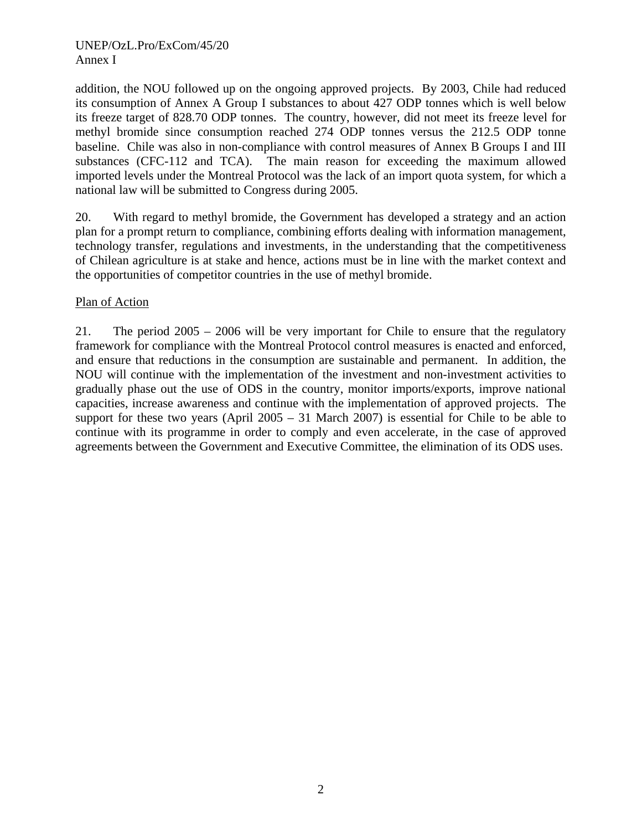### UNEP/OzL.Pro/ExCom/45/20 Annex I

addition, the NOU followed up on the ongoing approved projects. By 2003, Chile had reduced its consumption of Annex A Group I substances to about 427 ODP tonnes which is well below its freeze target of 828.70 ODP tonnes. The country, however, did not meet its freeze level for methyl bromide since consumption reached 274 ODP tonnes versus the 212.5 ODP tonne baseline. Chile was also in non-compliance with control measures of Annex B Groups I and III substances (CFC-112 and TCA). The main reason for exceeding the maximum allowed imported levels under the Montreal Protocol was the lack of an import quota system, for which a national law will be submitted to Congress during 2005.

20. With regard to methyl bromide, the Government has developed a strategy and an action plan for a prompt return to compliance, combining efforts dealing with information management, technology transfer, regulations and investments, in the understanding that the competitiveness of Chilean agriculture is at stake and hence, actions must be in line with the market context and the opportunities of competitor countries in the use of methyl bromide.

### Plan of Action

21. The period 2005 – 2006 will be very important for Chile to ensure that the regulatory framework for compliance with the Montreal Protocol control measures is enacted and enforced, and ensure that reductions in the consumption are sustainable and permanent. In addition, the NOU will continue with the implementation of the investment and non-investment activities to gradually phase out the use of ODS in the country, monitor imports/exports, improve national capacities, increase awareness and continue with the implementation of approved projects. The support for these two years (April  $2005 - 31$  March  $2007$ ) is essential for Chile to be able to continue with its programme in order to comply and even accelerate, in the case of approved agreements between the Government and Executive Committee, the elimination of its ODS uses.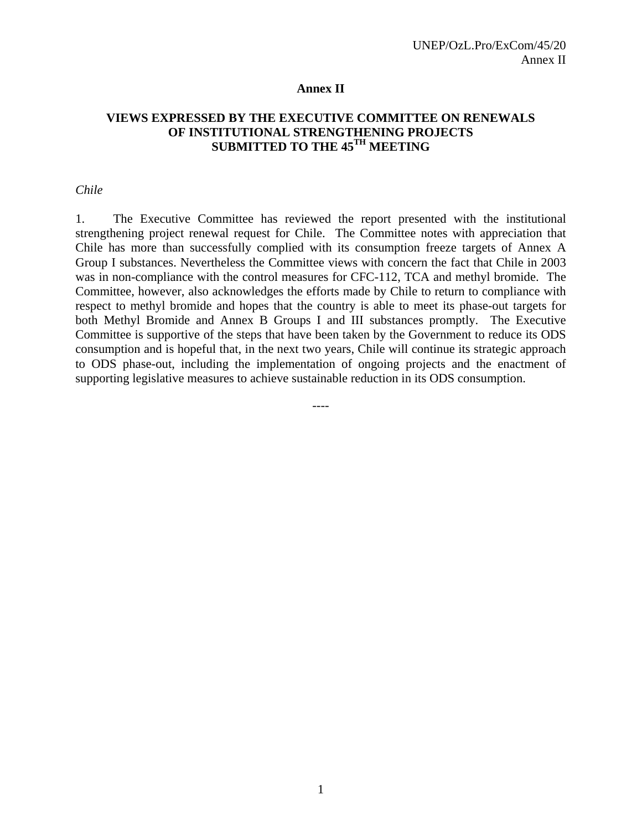#### **Annex II**

### **VIEWS EXPRESSED BY THE EXECUTIVE COMMITTEE ON RENEWALS OF INSTITUTIONAL STRENGTHENING PROJECTS SUBMITTED TO THE 45TH MEETING**

#### *Chile*

1. The Executive Committee has reviewed the report presented with the institutional strengthening project renewal request for Chile. The Committee notes with appreciation that Chile has more than successfully complied with its consumption freeze targets of Annex A Group I substances. Nevertheless the Committee views with concern the fact that Chile in 2003 was in non-compliance with the control measures for CFC-112, TCA and methyl bromide. The Committee, however, also acknowledges the efforts made by Chile to return to compliance with respect to methyl bromide and hopes that the country is able to meet its phase-out targets for both Methyl Bromide and Annex B Groups I and III substances promptly. The Executive Committee is supportive of the steps that have been taken by the Government to reduce its ODS consumption and is hopeful that, in the next two years, Chile will continue its strategic approach to ODS phase-out, including the implementation of ongoing projects and the enactment of supporting legislative measures to achieve sustainable reduction in its ODS consumption.

----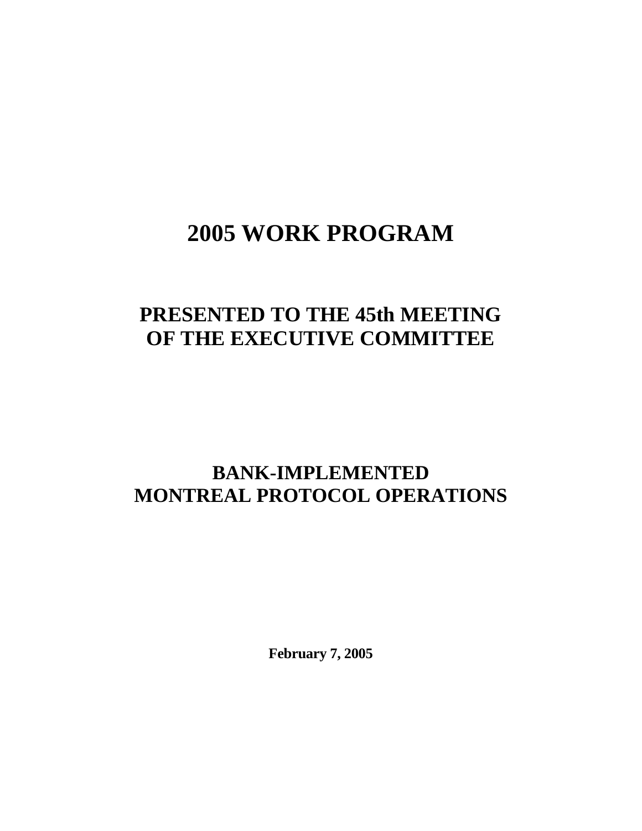# **2005 WORK PROGRAM**

# **PRESENTED TO THE 45th MEETING OF THE EXECUTIVE COMMITTEE**

## **BANK-IMPLEMENTED MONTREAL PROTOCOL OPERATIONS**

**February 7, 2005**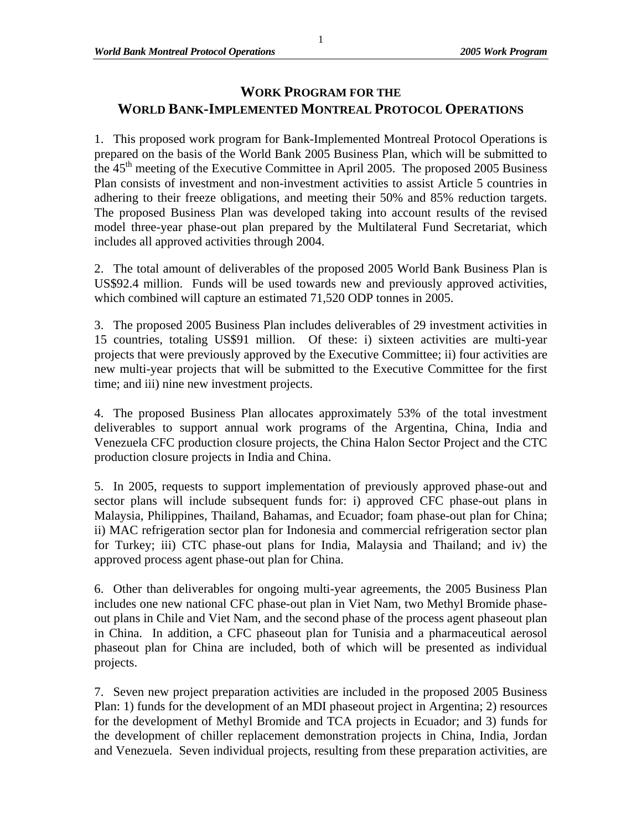## **WORK PROGRAM FOR THE WORLD BANK-IMPLEMENTED MONTREAL PROTOCOL OPERATIONS**

1. This proposed work program for Bank-Implemented Montreal Protocol Operations is prepared on the basis of the World Bank 2005 Business Plan, which will be submitted to the  $45<sup>th</sup>$  meeting of the Executive Committee in April 2005. The proposed 2005 Business Plan consists of investment and non-investment activities to assist Article 5 countries in adhering to their freeze obligations, and meeting their 50% and 85% reduction targets. The proposed Business Plan was developed taking into account results of the revised model three-year phase-out plan prepared by the Multilateral Fund Secretariat, which includes all approved activities through 2004.

2. The total amount of deliverables of the proposed 2005 World Bank Business Plan is US\$92.4 million. Funds will be used towards new and previously approved activities, which combined will capture an estimated 71,520 ODP tonnes in 2005.

3. The proposed 2005 Business Plan includes deliverables of 29 investment activities in 15 countries, totaling US\$91 million. Of these: i) sixteen activities are multi-year projects that were previously approved by the Executive Committee; ii) four activities are new multi-year projects that will be submitted to the Executive Committee for the first time; and iii) nine new investment projects.

4. The proposed Business Plan allocates approximately 53% of the total investment deliverables to support annual work programs of the Argentina, China, India and Venezuela CFC production closure projects, the China Halon Sector Project and the CTC production closure projects in India and China.

5. In 2005, requests to support implementation of previously approved phase-out and sector plans will include subsequent funds for: i) approved CFC phase-out plans in Malaysia, Philippines, Thailand, Bahamas, and Ecuador; foam phase-out plan for China; ii) MAC refrigeration sector plan for Indonesia and commercial refrigeration sector plan for Turkey; iii) CTC phase-out plans for India, Malaysia and Thailand; and iv) the approved process agent phase-out plan for China.

6. Other than deliverables for ongoing multi-year agreements, the 2005 Business Plan includes one new national CFC phase-out plan in Viet Nam, two Methyl Bromide phaseout plans in Chile and Viet Nam, and the second phase of the process agent phaseout plan in China. In addition, a CFC phaseout plan for Tunisia and a pharmaceutical aerosol phaseout plan for China are included, both of which will be presented as individual projects.

7. Seven new project preparation activities are included in the proposed 2005 Business Plan: 1) funds for the development of an MDI phaseout project in Argentina; 2) resources for the development of Methyl Bromide and TCA projects in Ecuador; and 3) funds for the development of chiller replacement demonstration projects in China, India, Jordan and Venezuela. Seven individual projects, resulting from these preparation activities, are